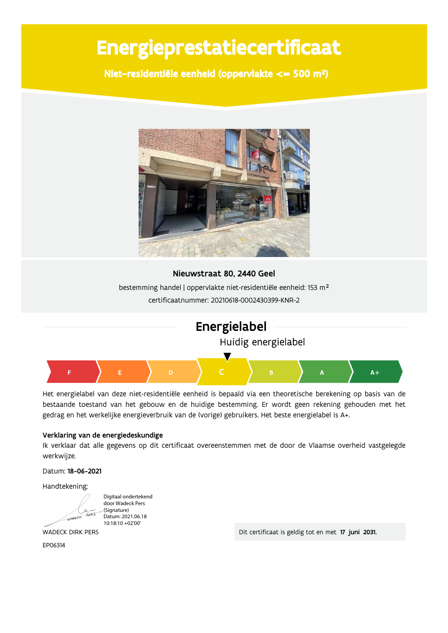# Energieprestatiecertificaat

Niet-residentiële eenheid (oppervlakte <= 500 m<sup>2</sup>)



#### Nieuwstraat 80, 2440 Geel

bestemming handel | oppervlakte niet-residentiële eenheid: 153 m<sup>2</sup> certificaatnummer: 20210618-0002430399-KNR-2



Het energielabel van deze niet-residentiële eenheid is bepaald via een theoretische berekening op basis van de bestaande toestand van het gebouw en de huidige bestemming. Er wordt geen rekening gehouden met het gedrag en het werkelijke energieverbruik van de (vorige) gebruikers. Het beste energielabel is A+.

#### Verklaring van de energiedeskundige

Ik verklaar dat alle gegevens op dit certificaat overeenstemmen met de door de Vlaamse overheid vastgelegde werkwijze.

Datum: 18-06-2021

Handtekening:

Digitaal ondertekend door Wadeck Pers (Signature) Datum: 2021.06.18 10:18:10 +02'00'

**WADECK DIRK PERS** 

FP06314

Dit certificaat is geldig tot en met 17 juni 2031.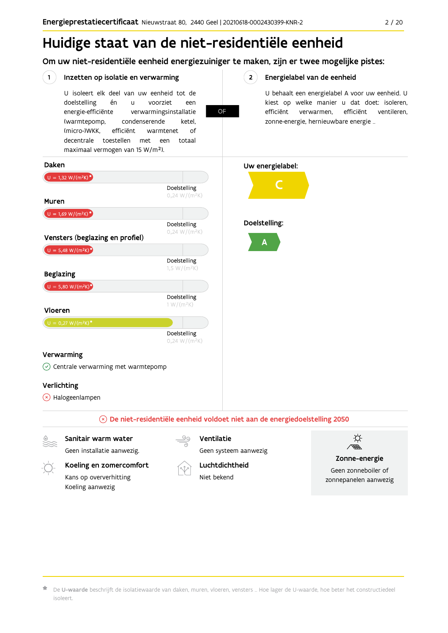# Huidige staat van de niet-residentiële eenheid

Om uw niet-residentiële eenheid energiezuiniger te maken, zijn er twee mogelijke pistes:

#### $(1)$ Inzetten op isolatie en verwarming

U isoleert elk deel van uw eenheid tot de én voorziet doelstelling  $\overline{11}$ een energie-efficiënte verwarmingsinstallatie (warmtepomp, condenserende ketel. (micro-)WKK. efficiënt warmtenet  $\bigcap_{ }$ decentrale toestellen met een totaal maximaal vermogen van 15 W/m<sup>2</sup>).

**OF** 

 $2^{\circ}$ 

#### Energielabel van de eenheid

U behaalt een energielabel A voor uw eenheid. U kiest op welke manier u dat doet: isoleren, efficiënt verwarmen, efficiënt ventileren, zonne-energie, hernieuwbare energie ...





Sanitair warm water Geen installatie aanwezig. Ventilatie

Geen systeem aanwezig



Koeling en zomercomfort Kans op oververhitting

Koeling aanwezig

Luchtdichtheid

Niet bekend



#### Zonne-energie

Geen zonneboiler of zonnepanelen aanwezig

De U-waarde beschrijft de isolatiewaarde van daken, muren, vloeren, vensters ... Hoe lager de U-waarde, hoe beter het constructiedeel isoleert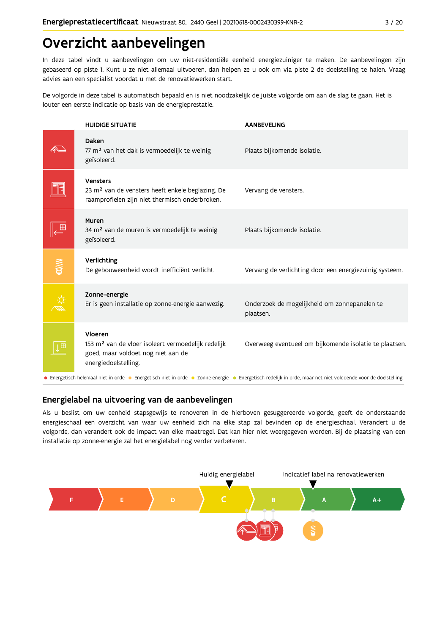## Overzicht aanbevelingen

In deze tabel vindt u aanbevelingen om uw niet-residentiële eenheid energiezuiniger te maken. De aanbevelingen zijn gebaseerd op piste 1. Kunt u ze niet allemaal uitvoeren, dan helpen ze u ook om via piste 2 de doelstelling te halen. Vraag advies aan een specialist voordat u met de renovatiewerken start.

De volgorde in deze tabel is automatisch bepaald en is niet noodzakelijk de juiste volgorde om aan de slag te gaan. Het is louter een eerste indicatie op basis van de energieprestatie.

|                                                                                                                                                             | <b>HUIDIGE SITUATIE</b>                                                                                                                 | <b>AANBEVELING</b>                                        |  |  |  |  |
|-------------------------------------------------------------------------------------------------------------------------------------------------------------|-----------------------------------------------------------------------------------------------------------------------------------------|-----------------------------------------------------------|--|--|--|--|
|                                                                                                                                                             | Daken<br>77 m <sup>2</sup> van het dak is vermoedelijk te weinig<br>geïsoleerd.                                                         | Plaats bijkomende isolatie.                               |  |  |  |  |
|                                                                                                                                                             | Vensters<br>23 m <sup>2</sup> van de vensters heeft enkele beglazing. De<br>raamprofielen zijn niet thermisch onderbroken.              | Vervang de vensters.                                      |  |  |  |  |
|                                                                                                                                                             | Muren<br>34 m <sup>2</sup> van de muren is vermoedelijk te weinig<br>geïsoleerd.                                                        | Plaats bijkomende isolatie.                               |  |  |  |  |
| 有人                                                                                                                                                          | Verlichting<br>De gebouweenheid wordt inefficiënt verlicht.                                                                             | Vervang de verlichting door een energiezuinig systeem.    |  |  |  |  |
|                                                                                                                                                             | Zonne-energie<br>Er is geen installatie op zonne-energie aanwezig.                                                                      | Onderzoek de mogelijkheid om zonnepanelen te<br>plaatsen. |  |  |  |  |
|                                                                                                                                                             | Vloeren<br>153 m <sup>2</sup> van de vloer isoleert vermoedelijk redelijk<br>goed, maar voldoet nog niet aan de<br>energiedoelstelling. | Overweeg eventueel om bijkomende isolatie te plaatsen.    |  |  |  |  |
| • Energetisch helemaal niet in orde • Energetisch niet in orde • Zonne-energie • Energetisch redelijk in orde, maar net niet voldoende voor de doelstelling |                                                                                                                                         |                                                           |  |  |  |  |

#### Energielabel na uitvoering van de aanbevelingen

Als u beslist om uw eenheid stapsgewijs te renoveren in de hierboven gesuggereerde volgorde, geeft de onderstaande energieschaal een overzicht van waar uw eenheid zich na elke stap zal bevinden op de energieschaal. Verandert u de volgorde, dan verandert ook de impact van elke maatregel. Dat kan hier niet weergegeven worden. Bij de plaatsing van een installatie op zonne-energie zal het energielabel nog verder verbeteren.

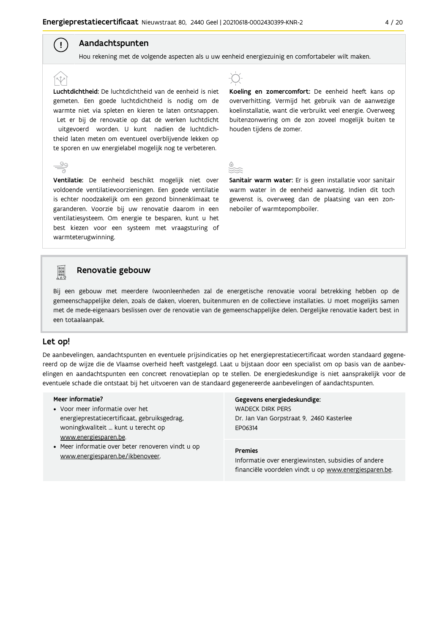#### Aandachtspunten

 $\left( \begin{array}{c} 1 \end{array} \right)$ 

Hou rekening met de volgende aspecten als u uw eenheid energiezuinig en comfortabeler wilt maken.

Luchtdichtheid: De luchtdichtheid van de eenheid is niet gemeten. Een goede luchtdichtheid is nodig om de warmte niet via spleten en kieren te laten ontsnappen. Let er bij de renovatie op dat de werken luchtdicht uitgevoerd worden. U kunt nadien de luchtdichtheid laten meten om eventueel overblijvende lekken op te sporen en uw energielabel mogelijk nog te verbeteren.

Ventilatie: De eenheid beschikt mogelijk niet over voldoende ventilatievoorzieningen. Een goede ventilatie is echter noodzakelijk om een gezond binnenklimaat te garanderen. Voorzie bij uw renovatie daarom in een ventilatiesysteem. Om energie te besparen, kunt u het best kiezen voor een systeem met vraagsturing of warmteterugwinning.



Koeling en zomercomfort: De eenheid heeft kans op oververhitting. Vermijd het gebruik van de aanwezige koelinstallatie, want die verbruikt veel energie. Overweeg buitenzonwering om de zon zoveel mogelijk buiten te houden tijdens de zomer.

Sanitair warm water: Er is geen installatie voor sanitair warm water in de eenheid aanwezig. Indien dit toch gewenst is, overweeg dan de plaatsing van een zonneboiler of warmtepompboiler.



#### Renovatie gebouw

Bij een gebouw met meerdere (woon)eenheden zal de energetische renovatie vooral betrekking hebben op de gemeenschappelijke delen, zoals de daken, vloeren, buitenmuren en de collectieve installaties. U moet mogelijks samen met de mede-eigenaars beslissen over de renovatie van de gemeenschappelijke delen. Dergelijke renovatie kadert best in een totaalaanpak.

#### Let op!

De aanbevelingen, aandachtspunten en eventuele prijsindicaties op het energieprestatiecertificaat worden standaard gegenereerd op de wijze die de Vlaamse overheid heeft vastgelegd. Laat u bijstaan door een specialist om op basis van de aanbevelingen en aandachtspunten een concreet renovatieplan op te stellen. De energiedeskundige is niet aansprakelijk voor de eventuele schade die ontstaat bij het uitvoeren van de standaard gegenereerde aanbevelingen of aandachtspunten.

#### Meer informatie?

- Voor meer informatie over het energieprestatiecertificaat, gebruiksgedrag, woningkwaliteit ... kunt u terecht op www.energiesparen.be.
- Meer informatie over beter renoveren vindt u op www.energiesparen.be/ikbenoveer.

### Gegevens energiedeskundige:

**WADECK DIRK PERS** Dr. Jan Van Gorpstraat 9, 2460 Kasterlee EP06314

#### **Premies**

Informatie over energiewinsten, subsidies of andere financiële voordelen vindt u op www.energiesparen.be.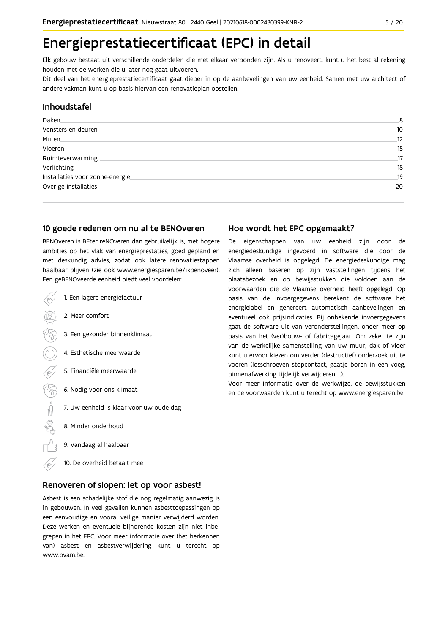## Energieprestatiecertificaat (EPC) in detail

Elk gebouw bestaat uit verschillende onderdelen die met elkaar verbonden zijn. Als u renoveert, kunt u het best al rekening houden met de werken die u later nog gaat uitvoeren.

Dit deel van het energieprestatiecertificaat gaat dieper in op de aanbevelingen van uw eenheid. Samen met uw architect of andere vakman kunt u op basis hiervan een renovatieplan opstellen.

#### Inhoudstafel

| Daken.                          | 8  |
|---------------------------------|----|
| Vensters en deuren              | 10 |
| Muren                           | 12 |
| Vloeren                         | 15 |
| Ruimteverwarming                | 17 |
| Verlichting                     | 18 |
| Installaties voor zonne-energie | 19 |
| Overige installaties            | 20 |
|                                 |    |

#### 10 goede redenen om nu al te BENOveren

BENOveren is BEter reNOveren dan gebruikelijk is, met hogere ambities op het vlak van energieprestaties, goed gepland en met deskundig advies, zodat ook latere renovatiestappen haalbaar blijven (zie ook www.energiesparen.be/ikbenoveer). Een geBENOveerde eenheid biedt veel voordelen:

- 1. Een lagere energiefactuur 2. Meer comfort 3. Een gezonder binnenklimaat 4. Esthetische meerwaarde 5. Financiële meerwaarde  $500 \oplus 0$ 6. Nodig voor ons klimaat 7. Uw eenheid is klaar voor uw oude dag 8. Minder onderhoud 9. Vandaag al haalbaar
	- 10. De overheid betaalt mee

#### Renoveren of slopen: let op voor asbest!

Asbest is een schadelijke stof die nog regelmatig aanwezig is in gebouwen. In veel gevallen kunnen asbesttoepassingen op een eenvoudige en vooral veilige manier verwijderd worden. Deze werken en eventuele bijhorende kosten zijn niet inbegrepen in het EPC. Voor meer informatie over (het herkennen van) asbest en asbestverwijdering kunt u terecht op www.ovam.be.

#### Hoe wordt het EPC opgemaakt?

De eigenschappen van uw eenheid zijn door de energiedeskundige ingevoerd in software die door de Vlaamse overheid is opgelegd. De energiedeskundige mag zich alleen baseren op zijn vaststellingen tijdens het plaatsbezoek en op bewijsstukken die voldoen aan de voorwaarden die de Vlaamse overheid heeft opgelegd. Op basis van de invoergegevens berekent de software het energielabel en genereert automatisch aanbevelingen en eventueel ook prijsindicaties. Bij onbekende invoergegevens gaat de software uit van veronderstellingen, onder meer op basis van het (ver)bouw- of fabricagejaar. Om zeker te zijn van de werkelijke samenstelling van uw muur, dak of vloer kunt u ervoor kiezen om verder (destructief) onderzoek uit te voeren (losschroeven stopcontact, gaatje boren in een voeg, binnenafwerking tijdelijk verwijderen ...).

Voor meer informatie over de werkwijze, de bewijsstukken en de voorwaarden kunt u terecht op www.energiesparen.be.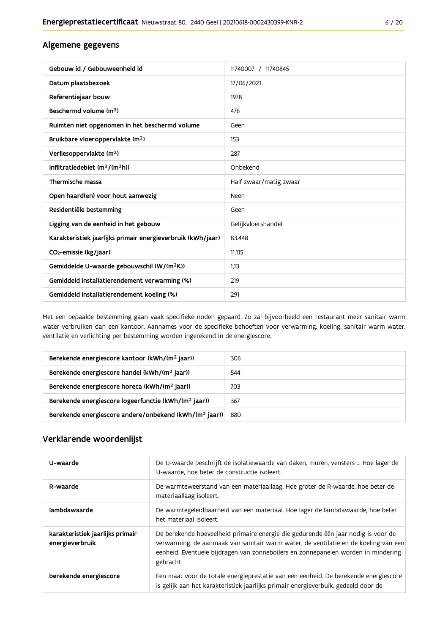#### Algemene gegevens

| Gebouw id / Gebouweenheid id                                | 11740007 / 11740845    |
|-------------------------------------------------------------|------------------------|
| Datum plaatsbezoek                                          | 17/06/2021             |
| Referentiejaar bouw                                         | 1978                   |
| Beschermd volume (m <sup>3</sup> )                          | 476                    |
| Ruimten niet opgenomen in het beschermd volume              | Geen                   |
| Bruikbare vloeroppervlakte (m <sup>2</sup> )                | 153                    |
| Verliesoppervlakte (m <sup>2</sup> )                        | 287                    |
| Infiltratiedebiet $(m^3/(m^2h))$                            | Onbekend               |
| Thermische massa                                            | Half zwaar/matig zwaar |
| Open haard(en) voor hout aanwezig                           | Neen                   |
| Residentiële bestemming                                     | Geen                   |
| Ligging van de eenheid in het gebouw                        | Gelijkvloershandel     |
| Karakteristiek jaarlijks primair energieverbruik (kWh/jaar) | 83.448                 |
| CO <sub>2</sub> -emissie (kg/jaar)                          | 11.115                 |
| Gemiddelde U-waarde gebouwschil (W/(m <sup>2</sup> K))      | 1,13                   |
| Gemiddeld installatierendement verwarming (%)               | 219                    |
| Gemiddeld installatierendement koeling (%)                  | 291                    |

Met een bepaalde bestemming gaan vaak specifieke noden gepaard. Zo zal bijvoorbeeld een restaurant meer sanitair warm water verbruiken dan een kantoor. Aannames voor de specifieke behoeften voor verwarming, koeling, sanitair warm water, ventilatie en verlichting per bestemming worden ingerekend in de energiescore.

| Berekende energiescore kantoor (kWh/(m <sup>2</sup> jaar))         | 306 |
|--------------------------------------------------------------------|-----|
| Berekende energiescore handel (kWh/(m <sup>2</sup> jaar))          | 544 |
| Berekende energiescore horeca (kWh/(m <sup>2</sup> jaar))          | 703 |
| Berekende energiescore logeerfunctie (kWh/(m <sup>2</sup> jaar))   | 367 |
| Berekende energiescore andere/onbekend (kWh/(m <sup>2</sup> jaar)) | 880 |

#### Verklarende woordenlijst

| U-waarde                                            | De U-waarde beschrijft de isolatiewaarde van daken, muren, vensters  Hoe lager de<br>U-waarde, hoe beter de constructie isoleert.                                                                                                                                          |
|-----------------------------------------------------|----------------------------------------------------------------------------------------------------------------------------------------------------------------------------------------------------------------------------------------------------------------------------|
| R-waarde                                            | De warmteweerstand van een materiaallaag. Hoe groter de R-waarde, hoe beter de<br>materiaallaag isoleert.                                                                                                                                                                  |
| lambdawaarde                                        | De warmtegeleidbaarheid van een materiaal. Hoe lager de lambdawaarde, hoe beter<br>het materiaal isoleert.                                                                                                                                                                 |
| karakteristiek jaarlijks primair<br>energieverbruik | De berekende hoeveelheid primaire energie die gedurende één jaar nodig is voor de<br>verwarming, de aanmaak van sanitair warm water, de ventilatie en de koeling van een<br>eenheid. Eventuele bijdragen van zonneboilers en zonnepanelen worden in mindering<br>gebracht. |
| berekende energiescore                              | Een maat voor de totale energieprestatie van een eenheid. De berekende energiescore<br>is gelijk aan het karakteristiek jaarlijks primair energieverbuik, gedeeld door de                                                                                                  |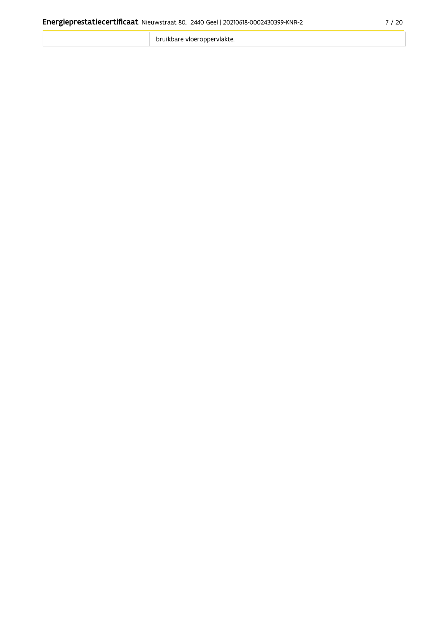bruikbare vloeroppervlakte.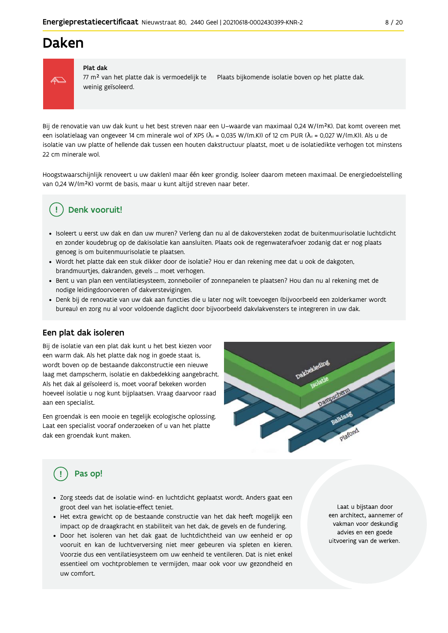### Daken



#### Plat dak

77 m<sup>2</sup> van het platte dak is vermoedelijk te Plaats bijkomende isolatie boven op het platte dak. weinig geïsoleerd.

Bij de renovatie van uw dak kunt u het best streven naar een U-waarde van maximaal 0,24 W/(m<sup>2</sup>K). Dat komt overeen met een isolatielaag van ongeveer 14 cm minerale wol of XPS ( $\lambda_a$  = 0,035 W/(m.K)) of 12 cm PUR ( $\lambda_a$  = 0,027 W/(m.K)). Als u de isolatie van uw platte of hellende dak tussen een houten dakstructuur plaatst, moet u de isolatiedikte verhogen tot minstens 22 cm minerale wol.

Hoogstwaarschijnlijk renoveert u uw daklen) maar één keer grondig. Isoleer daarom meteen maximaal. De energiedoelstelling van 0,24 W/(m<sup>2</sup>K) vormt de basis, maar u kunt altijd streven naar beter.

### Denk vooruit!

- · Isoleert u eerst uw dak en dan uw muren? Verleng dan nu al de dakoversteken zodat de buitenmuurisolatie luchtdicht en zonder koudebrug op de dakisolatie kan aansluiten. Plaats ook de regenwaterafvoer zodanig dat er nog plaats genoeg is om buitenmuurisolatie te plaatsen.
- · Wordt het platte dak een stuk dikker door de isolatie? Hou er dan rekening mee dat u ook de dakgoten, brandmuurtjes, dakranden, gevels ... moet verhogen.
- Bent u van plan een ventilatiesysteem, zonneboiler of zonnepanelen te plaatsen? Hou dan nu al rekening met de nodige leidingdoorvoeren of dakverstevigingen.
- · Denk bij de renovatie van uw dak aan functies die u later nog wilt toevoegen (bijvoorbeeld een zolderkamer wordt bureau) en zorg nu al voor voldoende daglicht door bijvoorbeeld dakvlakvensters te integreren in uw dak.

#### Een plat dak isoleren

Bij de isolatie van een plat dak kunt u het best kiezen voor een warm dak. Als het platte dak nog in goede staat is, wordt boven op de bestaande dakconstructie een nieuwe laag met dampscherm, isolatie en dakbedekking aangebracht. Als het dak al geïsoleerd is, moet vooraf bekeken worden hoeveel isolatie u nog kunt bijplaatsen. Vraag daarvoor raad aan een specialist.

Een groendak is een mooie en tegelijk ecologische oplossing. Laat een specialist vooraf onderzoeken of u van het platte dak een groendak kunt maken.



### Pas op!

- · Zorg steeds dat de isolatie wind- en luchtdicht geplaatst wordt. Anders gaat een groot deel van het isolatie-effect teniet.
- · Het extra gewicht op de bestaande constructie van het dak heeft mogelijk een impact op de draagkracht en stabiliteit van het dak, de gevels en de fundering.
- · Door het isoleren van het dak gaat de luchtdichtheid van uw eenheid er op vooruit en kan de luchtverversing niet meer gebeuren via spleten en kieren. Voorzie dus een ventilatiesysteem om uw eenheid te ventileren. Dat is niet enkel essentieel om vochtproblemen te vermijden, maar ook voor uw gezondheid en uw comfort.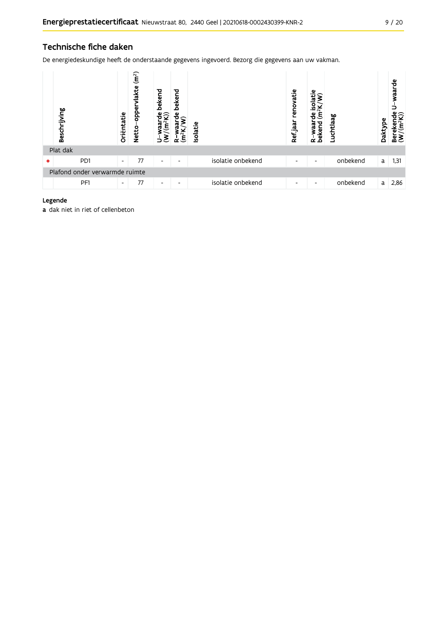### Technische fiche daken

De energiedeskundige heeft de onderstaande gegevens ingevoerd. Bezorg die gegevens aan uw vakman.

| Beschrijving                   | Oriëntatie               | (m <sup>2</sup> )<br><b>lakte</b><br>opper<br><b>Netto</b> | bekend<br>ິืืืื้ื <del>ง</del><br>Ε<br>っ | bekend<br>Φ<br>ξ<br>∼    | Isolatie |                   | renovatie<br>Ref jaar | ω<br>₫<br>$\overline{N}$<br>ξ<br>g<br>waar<br>bekend<br>α | Luchtlaag | Daktype | waarde<br>≌ੂ<br>Bereken<br>(W/(m <sup>2</sup> k |
|--------------------------------|--------------------------|------------------------------------------------------------|------------------------------------------|--------------------------|----------|-------------------|-----------------------|-----------------------------------------------------------|-----------|---------|-------------------------------------------------|
| Plat dak                       |                          |                                                            |                                          |                          |          |                   |                       |                                                           |           |         |                                                 |
| P <sub>D</sub> 1               | $\overline{\phantom{a}}$ | 77                                                         | $\overline{\phantom{a}}$                 | $\overline{\phantom{0}}$ |          | isolatie onbekend | ٠                     | $\overline{\phantom{a}}$                                  | onbekend  | a       | 1,31                                            |
| Plafond onder verwarmde ruimte |                          |                                                            |                                          |                          |          |                   |                       |                                                           |           |         |                                                 |
| PF1                            | $\overline{\phantom{a}}$ | 77                                                         | $\overline{\phantom{a}}$                 | $\overline{\phantom{0}}$ |          | isolatie onbekend | ٠                     | $\overline{\phantom{a}}$                                  | onbekend  | a       | 2,86                                            |

#### Legende

a dak niet in riet of cellenbeton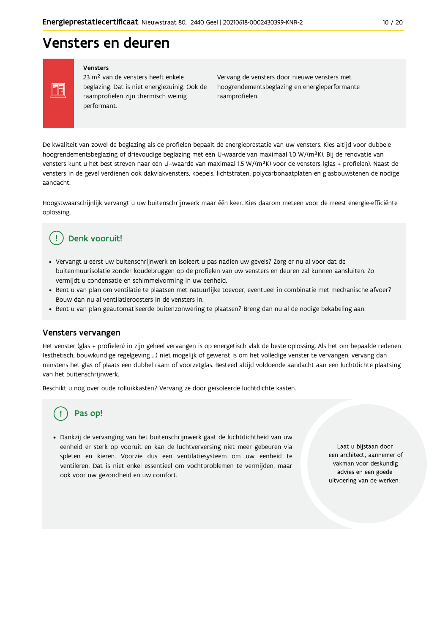## Vensters en deuren

Vensters

FF

23 m<sup>2</sup> van de vensters heeft enkele beglazing. Dat is niet energiezuinig. Ook de raamprofielen zijn thermisch weinig performant.

Vervang de vensters door nieuwe vensters met hoogrendementsbeglazing en energieperformante raamprofielen.

De kwaliteit van zowel de beglazing als de profielen bepaalt de energieprestatie van uw vensters. Kies altijd voor dubbele hoogrendementsbeglazing of drievoudige beglazing met een U-waarde van maximaal 1,0 W/(m<sup>2</sup>K). Bij de renovatie van vensters kunt u het best streven naar een U-waarde van maximaal 1,5 W/(m<sup>2</sup>K) voor de vensters (glas + profielen). Naast de vensters in de gevel verdienen ook dakvlakvensters, koepels, lichtstraten, polycarbonaatplaten en glasbouwstenen de nodige aandacht

Hoogstwaarschijnlijk vervangt u uw buitenschrijnwerk maar één keer. Kies daarom meteen voor de meest energie-efficiënte oplossing.

#### Denk vooruit! Ţ

- · Vervangt u eerst uw buitenschrijnwerk en isoleert u pas nadien uw gevels? Zorg er nu al voor dat de buitenmuurisolatie zonder koudebruggen op de profielen van uw vensters en deuren zal kunnen aansluiten. Zo vermijdt u condensatie en schimmelvorming in uw eenheid.
- Bent u van plan om ventilatie te plaatsen met natuurlijke toevoer, eventueel in combinatie met mechanische afvoer? Bouw dan nu al ventilatieroosters in de vensters in.
- · Bent u van plan geautomatiseerde buitenzonwering te plaatsen? Breng dan nu al de nodige bekabeling aan.

#### Vensters vervangen

Het venster (glas + profielen) in zijn geheel vervangen is op energetisch vlak de beste oplossing. Als het om bepaalde redenen (esthetisch, bouwkundige regelgeving ...) niet mogelijk of gewenst is om het volledige venster te vervangen, vervang dan minstens het glas of plaats een dubbel raam of voorzetglas. Besteed altijd voldoende aandacht aan een luchtdichte plaatsing van het buitenschrijnwerk.

Beschikt u nog over oude rolluikkasten? Vervang ze door geïsoleerde luchtdichte kasten.

### Pas op!

· Dankzij de vervanging van het buitenschrijnwerk gaat de luchtdichtheid van uw eenheid er sterk op vooruit en kan de luchtverversing niet meer gebeuren via spleten en kieren. Voorzie dus een ventilatiesysteem om uw eenheid te ventileren. Dat is niet enkel essentieel om vochtproblemen te vermijden, maar ook voor uw gezondheid en uw comfort.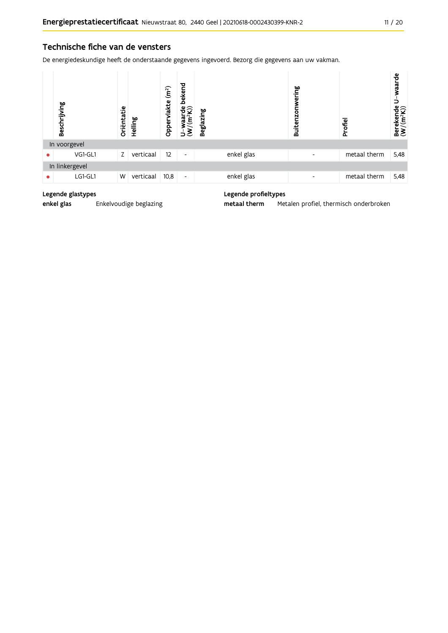#### Technische fiche van de vensters

De energiedeskundige heeft de onderstaande gegevens ingevoerd. Bezorg die gegevens aan uw vakman.

| Beschrijving   | Oriëntatie | Helling   | (m <sup>2</sup> )<br>vlakte<br>Opper | bekend<br>ਚੰ⊊ੇ<br>$(\mathsf{m}^2)$<br>waal<br>⊃ | <b>Beglazing</b> |            | ering<br>5<br><b>Buitenz</b> | Profiel      | waarde<br>Berekende U-v<br>(W/(m <sup>2</sup> K)) |
|----------------|------------|-----------|--------------------------------------|-------------------------------------------------|------------------|------------|------------------------------|--------------|---------------------------------------------------|
| In voorgevel   |            |           |                                      |                                                 |                  |            |                              |              |                                                   |
| VG1-GL1        | Z          | verticaal | 12                                   | $\overline{\phantom{a}}$                        |                  | enkel glas | $\overline{\phantom{0}}$     | metaal therm | 5,48                                              |
| In linkergevel |            |           |                                      |                                                 |                  |            |                              |              |                                                   |
| LG1-GL1        | W          | verticaal | 10,8                                 | $\overline{\phantom{a}}$                        |                  | enkel glas | $\overline{\phantom{a}}$     | metaal therm | 5,48                                              |

#### Legende glastypes

enkel glas Enkelvoudige beglazing

#### Legende profieltypes

metaal therm Metalen profiel, thermisch onderbroken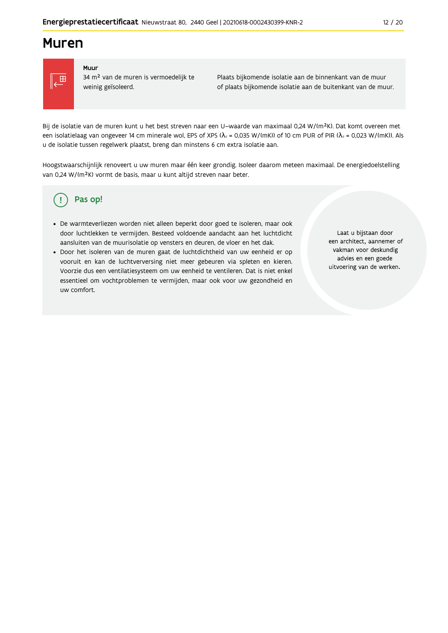### **Muren**



#### Muur

34 m<sup>2</sup> van de muren is vermoedelijk te weinig geïsoleerd.

Plaats bijkomende isolatie aan de binnenkant van de muur of plaats bijkomende isolatie aan de buitenkant van de muur.

Bij de isolatie van de muren kunt u het best streven naar een U-waarde van maximaal 0,24 W/(m<sup>2</sup>K). Dat komt overeen met een isolatielaag van ongeveer 14 cm minerale wol, EPS of XPS ( $\lambda_a$  = 0,035 W/(mK)) of 10 cm PUR of PIR ( $\lambda_a$  = 0,023 W/(mK)). Als u de isolatie tussen regelwerk plaatst, breng dan minstens 6 cm extra isolatie aan.

Hoogstwaarschijnlijk renoveert u uw muren maar één keer grondig. Isoleer daarom meteen maximaal. De energiedoelstelling van 0,24 W/(m<sup>2</sup>K) vormt de basis, maar u kunt altijd streven naar beter.

#### Pas op! ( !

- · De warmteverliezen worden niet alleen beperkt door goed te isoleren, maar ook door luchtlekken te vermijden. Besteed voldoende aandacht aan het luchtdicht aansluiten van de muurisolatie op vensters en deuren, de vloer en het dak.
- · Door het isoleren van de muren gaat de luchtdichtheid van uw eenheid er op vooruit en kan de luchtverversing niet meer gebeuren via spleten en kieren. Voorzie dus een ventilatiesysteem om uw eenheid te ventileren. Dat is niet enkel essentieel om vochtproblemen te vermijden, maar ook voor uw gezondheid en uw comfort.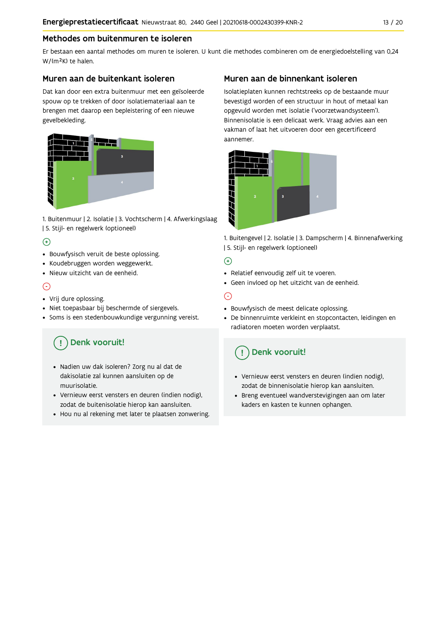#### Methodes om buitenmuren te isoleren

Er bestaan een aantal methodes om muren te isoleren. U kunt die methodes combineren om de energiedoelstelling van 0,24 W/(m<sup>2</sup>K) te halen.

#### Muren aan de buitenkant isoleren

Dat kan door een extra buitenmuur met een geïsoleerde spouw op te trekken of door isolatiemateriaal aan te brengen met daarop een bepleistering of een nieuwe gevelbekleding.



1. Buitenmuur | 2. Isolatie | 3. Vochtscherm | 4. Afwerkingslaag | 5. Stijl- en regelwerk (optioneel)

#### $\bigoplus$

- Bouwfysisch veruit de beste oplossing.
- · Koudebruggen worden weggewerkt.
- · Nieuw uitzicht van de eenheid.

#### $\odot$

- Vrij dure oplossing.
- · Niet toepasbaar bij beschermde of siergevels.
- Soms is een stedenbouwkundige vergunning vereist.

## Denk vooruit!

- · Nadien uw dak isoleren? Zorg nu al dat de dakisolatie zal kunnen aansluiten op de muurisolatie.
- · Vernieuw eerst vensters en deuren (indien nodig), zodat de buitenisolatie hierop kan aansluiten.
- Hou nu al rekening met later te plaatsen zonwering.

#### Muren aan de binnenkant isoleren

Isolatieplaten kunnen rechtstreeks op de bestaande muur bevestigd worden of een structuur in hout of metaal kan opgevuld worden met isolatie ('voorzetwandsysteem'). Binnenisolatie is een delicaat werk. Vraag advies aan een vakman of laat het uitvoeren door een gecertificeerd aannemer



1. Buitengevel | 2. Isolatie | 3. Dampscherm | 4. Binnenafwerking | 5. Stijl- en regelwerk (optioneel)

#### $\bigoplus$

- Relatief eenvoudig zelf uit te voeren.
- · Geen invloed op het uitzicht van de eenheid.

#### ⊝

- Bouwfysisch de meest delicate oplossing.
- · De binnenruimte verkleint en stopcontacten, leidingen en radiatoren moeten worden verplaatst.

### Denk vooruit!

- Vernieuw eerst vensters en deuren (indien nodig), zodat de binnenisolatie hierop kan aansluiten.
- · Breng eventueel wandverstevigingen aan om later kaders en kasten te kunnen ophangen.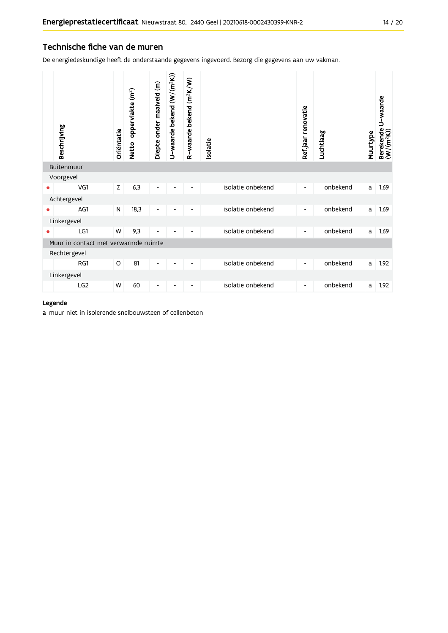#### Technische fiche van de muren

De energiedeskundige heeft de onderstaande gegevens ingevoerd. Bezorg die gegevens aan uw vakman.

|   | Beschrijving                         | Oriëntatie | Netto-oppervlakte (m <sup>2</sup> ) | Diepte onder maaiveld (m) | U-waarde bekend (W/(m <sup>2</sup> K)) | R-waarde bekend (m <sup>2</sup> K/W) | solatie |                   | Refjaar renovatie        | Luchtlaag | Muurtype | Berekende U-waarde<br>(W/(m <sup>2</sup> K)) |
|---|--------------------------------------|------------|-------------------------------------|---------------------------|----------------------------------------|--------------------------------------|---------|-------------------|--------------------------|-----------|----------|----------------------------------------------|
|   | Buitenmuur                           |            |                                     |                           |                                        |                                      |         |                   |                          |           |          |                                              |
|   | Voorgevel                            |            |                                     |                           |                                        |                                      |         |                   |                          |           |          |                                              |
|   | VG1                                  | Z          | 6,3                                 | $\overline{\phantom{a}}$  |                                        |                                      |         | isolatie onbekend | $\overline{\phantom{a}}$ | onbekend  | a        | 1,69                                         |
|   | Achtergevel                          |            |                                     |                           |                                        |                                      |         |                   |                          |           |          |                                              |
|   | AG1                                  | N          | 18,3                                | $\overline{\phantom{a}}$  |                                        |                                      |         | isolatie onbekend | $\overline{\phantom{a}}$ | onbekend  | a        | 1,69                                         |
|   | Linkergevel                          |            |                                     |                           |                                        |                                      |         |                   |                          |           |          |                                              |
| ٠ | LG1                                  | W          | 9,3                                 | $\blacksquare$            |                                        |                                      |         | isolatie onbekend | $\blacksquare$           | onbekend  | a        | 1,69                                         |
|   | Muur in contact met verwarmde ruimte |            |                                     |                           |                                        |                                      |         |                   |                          |           |          |                                              |
|   | Rechtergevel                         |            |                                     |                           |                                        |                                      |         |                   |                          |           |          |                                              |
|   | RG1                                  | $\circ$    | 81                                  | $\overline{\phantom{a}}$  |                                        | -                                    |         | isolatie onbekend | $\overline{\phantom{a}}$ | onbekend  | a        | 1,92                                         |
|   | Linkergevel                          |            |                                     |                           |                                        |                                      |         |                   |                          |           |          |                                              |
|   | LG <sub>2</sub>                      | W          | 60                                  | ٠                         |                                        |                                      |         | isolatie onbekend | $\overline{\phantom{a}}$ | onbekend  | a        | 1,92                                         |

#### Legende

a muur niet in isolerende snelbouwsteen of cellenbeton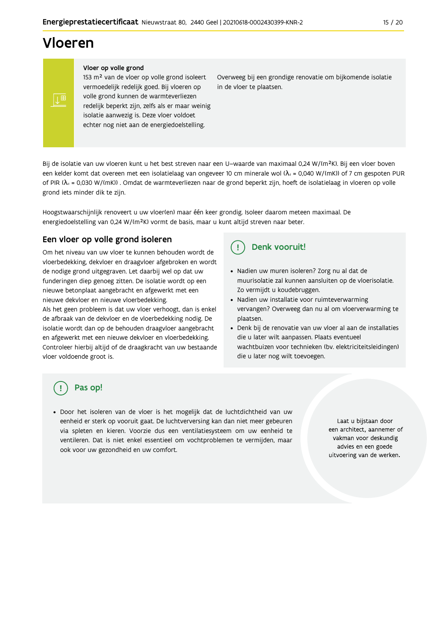## Vloeren

#### Vloer op volle grond

153 m<sup>2</sup> van de vloer op volle grond isoleert vermoedelijk redelijk goed. Bij vloeren op volle grond kunnen de warmteverliezen redelijk beperkt zijn, zelfs als er maar weinig isolatie aanwezig is. Deze vloer voldoet echter nog niet aan de energiedoelstelling.

Overweeg bij een grondige renovatie om bijkomende isolatie in de vloer te plaatsen.

Bij de isolatie van uw vloeren kunt u het best streven naar een U-waarde van maximaal 0,24 W/(m<sup>2</sup>K). Bij een vloer boven een kelder komt dat overeen met een isolatielaag van ongeveer 10 cm minerale wol ( $\lambda_d$  = 0,040 W/(mK)) of 7 cm gespoten PUR of PIR ( $\lambda_4$  = 0,030 W/(mK)). Omdat de warmteverliezen naar de grond beperkt zijn, hoeft de isolatielaag in vloeren op volle grond iets minder dik te zijn.

Hoogstwaarschijnlijk renoveert u uw vloer(en) maar één keer grondig. Isoleer daarom meteen maximaal. De energiedoelstelling van 0,24 W/(m<sup>2</sup>K) vormt de basis, maar u kunt altijd streven naar beter.

#### Een vloer op volle grond isoleren

Om het niveau van uw vloer te kunnen behouden wordt de vloerbedekking, dekvloer en draagvloer afgebroken en wordt de nodige grond uitgegraven. Let daarbij wel op dat uw funderingen diep genoeg zitten. De isolatie wordt op een nieuwe betonplaat aangebracht en afgewerkt met een nieuwe dekvloer en nieuwe vloerbedekking.

Als het geen probleem is dat uw vloer verhoogt, dan is enkel de afbraak van de dekvloer en de vloerbedekking nodig. De isolatie wordt dan op de behouden draagvloer aangebracht en afgewerkt met een nieuwe dekvloer en vloerbedekking. Controleer hierbij altijd of de draagkracht van uw bestaande vloer voldoende groot is.

#### Denk vooruit!  $\left( \begin{array}{c} 1 \end{array} \right)$

- · Nadien uw muren isoleren? Zorg nu al dat de muurisolatie zal kunnen aansluiten op de vloerisolatie. Zo vermijdt u koudebruggen.
- Nadien uw installatie voor ruimteverwarming vervangen? Overweeg dan nu al om vloerverwarming te plaatsen.
- Denk bij de renovatie van uw vloer al aan de installaties die u later wilt aanpassen. Plaats eventueel wachtbuizen voor technieken (bv. elektriciteitsleidingen) die u later nog wilt toevoegen.

### Pas op!

· Door het isoleren van de vloer is het mogelijk dat de luchtdichtheid van uw eenheid er sterk op vooruit gaat. De luchtverversing kan dan niet meer gebeuren via spleten en kieren. Voorzie dus een ventilatiesysteem om uw eenheid te ventileren. Dat is niet enkel essentieel om vochtproblemen te vermijden, maar ook voor uw gezondheid en uw comfort.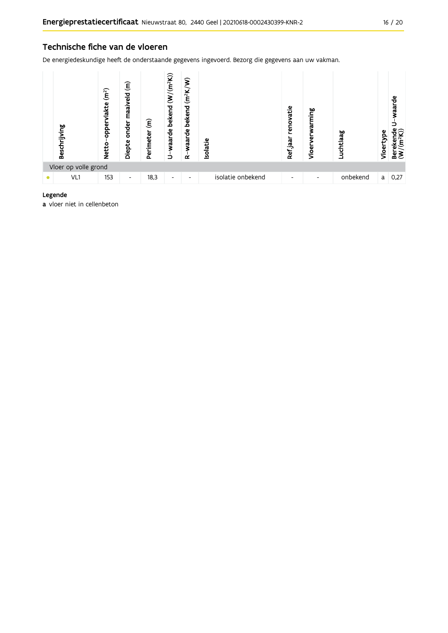#### Technische fiche van de vloeren

De energiedeskundige heeft de onderstaande gegevens ingevoerd. Bezorg die gegevens aan uw vakman.



#### Legende

a vloer niet in cellenbeton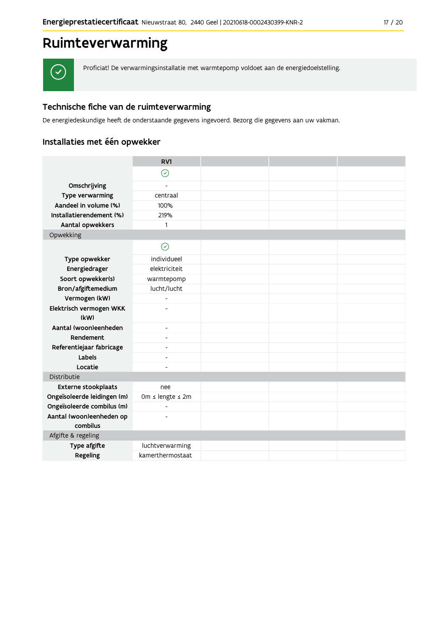## Ruimteverwarming



Proficiat! De verwarmingsinstallatie met warmtepomp voldoet aan de energiedoelstelling.

#### Technische fiche van de ruimteverwarming

De energiedeskundige heeft de onderstaande gegevens ingevoerd. Bezorg die gegevens aan uw vakman.

### Installaties met één opwekker

|                                      | RV1                      |  |  |
|--------------------------------------|--------------------------|--|--|
|                                      | $\odot$                  |  |  |
| Omschrijving                         |                          |  |  |
| Type verwarming                      | centraal                 |  |  |
| Aandeel in volume (%)                | 100%                     |  |  |
| Installatierendement (%)             | 219%                     |  |  |
| Aantal opwekkers                     | $\mathbf{1}$             |  |  |
| Opwekking                            |                          |  |  |
|                                      | $\odot$                  |  |  |
| Type opwekker                        | individueel              |  |  |
| Energiedrager                        | elektriciteit            |  |  |
| Soort opwekker(s)                    | warmtepomp               |  |  |
| Bron/afgiftemedium                   | lucht/lucht              |  |  |
| Vermogen (kW)                        | $\overline{a}$           |  |  |
| Elektrisch vermogen WKK              |                          |  |  |
| (kW)                                 |                          |  |  |
| Aantal (woon)eenheden                | $\overline{\phantom{a}}$ |  |  |
| Rendement                            | $\overline{a}$           |  |  |
| Referentiejaar fabricage             | $\blacksquare$           |  |  |
| Labels                               | $\blacksquare$           |  |  |
| Locatie                              |                          |  |  |
| Distributie                          |                          |  |  |
| Externe stookplaats                  | nee                      |  |  |
| Ongeïsoleerde leidingen (m)          | Om ≤ lengte ≤ 2m         |  |  |
| Ongeïsoleerde combilus (m)           | $\overline{a}$           |  |  |
| Aantal (woon)eenheden op<br>combilus |                          |  |  |
| Afgifte & regeling                   |                          |  |  |
| Type afgifte                         | luchtverwarming          |  |  |
| Regeling                             | kamerthermostaat         |  |  |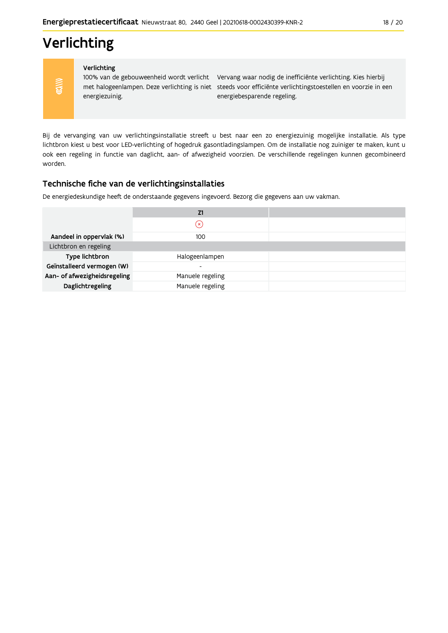## Verlichting

**COV/∪** 

#### Verlichting

energiezuinig.

100% van de gebouweenheid wordt verlicht Vervang waar nodig de inefficiënte verlichting. Kies hierbij met halogeenlampen. Deze verlichting is niet steeds voor efficiënte verlichtingstoestellen en voorzie in een energiebesparende regeling.

Bij de vervanging van uw verlichtingsinstallatie streeft u best naar een zo energiezuinig mogelijke installatie. Als type lichtbron kiest u best voor LED-verlichting of hogedruk gasontladingslampen. Om de installatie nog zuiniger te maken, kunt u ook een regeling in functie van daglicht, aan- of afwezigheid voorzien. De verschillende regelingen kunnen gecombineerd worden.

#### Technische fiche van de verlichtingsinstallaties

De energiedeskundige heeft de onderstaande gegevens ingevoerd. Bezorg die gegevens aan uw vakman.

|                              | Z1                       |  |
|------------------------------|--------------------------|--|
|                              | $(\times)$               |  |
| Aandeel in oppervlak (%)     | 100                      |  |
| Lichtbron en regeling        |                          |  |
| Type lichtbron               | Halogeenlampen           |  |
| Geïnstalleerd vermogen (W)   | $\overline{\phantom{0}}$ |  |
| Aan- of afwezigheidsregeling | Manuele regeling         |  |
| Daglichtregeling             | Manuele regeling         |  |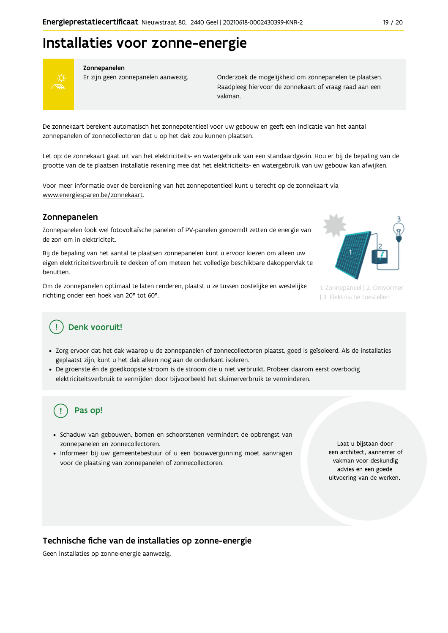## Installaties voor zonne-energie



#### Zonnepanelen

Er zijn geen zonnepanelen aanwezig.

Onderzoek de mogelijkheid om zonnepanelen te plaatsen. Raadpleeg hiervoor de zonnekaart of vraag raad aan een vakman.

De zonnekaart berekent automatisch het zonnepotentieel voor uw gebouw en geeft een indicatie van het aantal zonnepanelen of zonnecollectoren dat u op het dak zou kunnen plaatsen.

Let op: de zonnekaart gaat uit van het elektriciteits- en watergebruik van een standaardgezin. Hou er bij de bepaling van de grootte van de te plaatsen installatie rekening mee dat het elektriciteits- en watergebruik van uw gebouw kan afwijken.

Voor meer informatie over de berekening van het zonnepotentieel kunt u terecht op de zonnekaart via www.energiesparen.be/zonnekaart.

#### Zonnepanelen

Zonnepanelen (ook wel fotovoltaïsche panelen of PV-panelen genoemd) zetten de energie van de zon om in elektriciteit.

Bij de bepaling van het aantal te plaatsen zonnepanelen kunt u ervoor kiezen om alleen uw eigen elektriciteitsverbruik te dekken of om meteen het volledige beschikbare dakoppervlak te benutten.

Om de zonnepanelen optimaal te laten renderen, plaatst u ze tussen oostelijke en westelijke richting onder een hoek van 20° tot 60°.



1. Zonnepaneel | 2. Omvormer | 3. Elektrische toestellen

### Denk vooruit!

- · Zorg ervoor dat het dak waarop u de zonnepanelen of zonnecollectoren plaatst, goed is geïsoleerd. Als de installaties geplaatst zijn, kunt u het dak alleen nog aan de onderkant isoleren.
- · De groenste én de goedkoopste stroom is de stroom die u niet verbruikt. Probeer daarom eerst overbodig elektriciteitsverbruik te vermijden door bijvoorbeeld het sluimerverbruik te verminderen.

### Pas op!

- · Schaduw van gebouwen, bomen en schoorstenen vermindert de opbrengst van zonnepanelen en zonnecollectoren.
- Informeer bij uw gemeentebestuur of u een bouwvergunning moet aanvragen voor de plaatsing van zonnepanelen of zonnecollectoren.

Laat u bijstaan door een architect, aannemer of vakman voor deskundig advies en een goede uitvoering van de werken.

#### Technische fiche van de installaties op zonne-energie

Geen installaties op zonne-energie aanwezig.

19 / 20